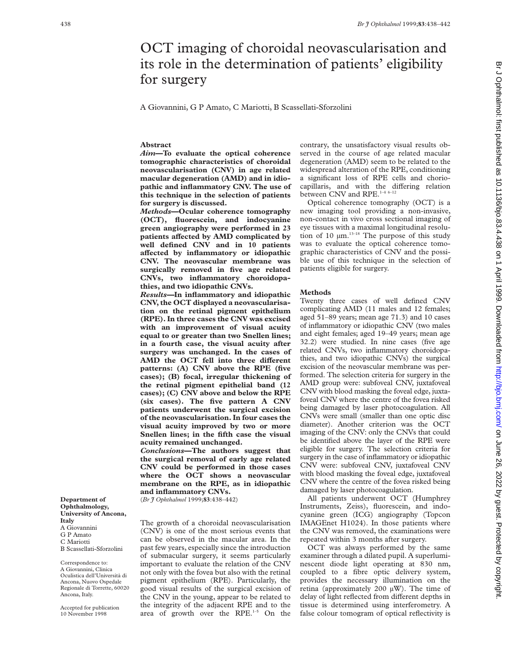# OCT imaging of choroidal neovascularisation and its role in the determination of patients' eligibility for surgery

A Giovannini, G P Amato, C Mariotti, B Scassellati-Sforzolini

## **Abstract**

*Aim***—To evaluate the optical coherence tomographic characteristics of choroidal neovascularisation (CNV) in age related macular degeneration (AMD) and in idiopathic and inflammatory CNV. The use of this technique in the selection of patients for surgery is discussed.**

*Methods***—Ocular coherence tomography (OCT), fluorescein, and indocyanine green angiography were performed in 23** patients affected by AMD complicated by **well defined CNV and in 10 patients aVected by inflammatory or idiopathic CNV. The neovascular membrane was surgically removed in five age related CNVs, two inflammatory choroidopathies, and two idiopathic CNVs.**

*Results—***In inflammatory and idiopathic CNV, the OCT displayed a neovascularisation on the retinal pigment epithelium (RPE). In three cases the CNV was excised with an improvement of visual acuity equal to or greater than two Snellen lines; in a fourth case, the visual acuity after surgery was unchanged. In the cases of** AMD the OCT fell into three different **patterns: (A) CNV above the RPE (five cases); (B) focal, irregular thickening of the retinal pigment epithelial band (12 cases); (C) CNV above and below the RPE (six cases). The five pattern A CNV patients underwent the surgical excision of the neovascularisation. In four cases the visual acuity improved by two or more Snellen lines; in the fifth case the visual acuity remained unchanged.**

*Conclusions***—The authors suggest that the surgical removal of early age related CNV could be performed in those cases where the OCT shows a neovascular membrane on the RPE, as in idiopathic and inflammatory CNVs.**

(*Br J Ophthalmol* 1999;**83**:438–442)

The growth of a choroidal neovascularisation (CNV) is one of the most serious events that can be observed in the macular area. In the past few years, especially since the introduction of submacular surgery, it seems particularly important to evaluate the relation of the CNV not only with the fovea but also with the retinal pigment epithelium (RPE). Particularly, the good visual results of the surgical excision of the CNV in the young, appear to be related to the integrity of the adjacent RPE and to the area of growth over the RPE.1–5 On the

contrary, the unsatisfactory visual results observed in the course of age related macular degeneration (AMD) seem to be related to the widespread alteration of the RPE, conditioning a significant loss of RPE cells and choriocapillaris, and with the differing relation between CNV and RPE.<sup>1-4 6-12</sup>

Optical coherence tomography (OCT) is a new imaging tool providing a non-invasive, non-contact in vivo cross sectional imaging of eye tissues with a maximal longitudinal resolution of 10  $\mu$ m.<sup>13-18</sup> The purpose of this study was to evaluate the optical coherence tomographic characteristics of CNV and the possible use of this technique in the selection of patients eligible for surgery.

### **Methods**

Twenty three cases of well defined CNV complicating AMD (11 males and 12 females; aged 51–89 years; mean age 71.3) and 10 cases of inflammatory or idiopathic CNV (two males and eight females; aged 19–49 years; mean age 32.2) were studied. In nine cases (five age related CNVs, two inflammatory choroidopathies, and two idiopathic CNVs) the surgical excision of the neovascular membrane was performed. The selection criteria for surgery in the AMD group were: subfoveal CNV, juxtafoveal CNV with blood masking the foveal edge, juxtafoveal CNV where the centre of the fovea risked being damaged by laser photocoagulation. All CNVs were small (smaller than one optic disc diameter). Another criterion was the OCT imaging of the CNV: only the CNVs that could be identified above the layer of the RPE were eligible for surgery. The selection criteria for surgery in the case of inflammatory or idiopathic CNV were: subfoveal CNV, juxtafoveal CNV with blood masking the foveal edge, juxtafoveal CNV where the centre of the fovea risked being damaged by laser photocoagulation.

All patients underwent OCT (Humphrey Instruments, Zeiss), fluorescein, and indocyanine green (ICG) angiography (Topcon IMAGEnet H1024). In those patients where the CNV was removed, the examinations were repeated within 3 months after surgery.

OCT was always performed by the same examiner through a dilated pupil. A superluminescent diode light operating at 830 nm, coupled to a fibre optic delivery system, provides the necessary illumination on the retina (approximately 200 µW). The time of delay of light reflected from different depths in tissue is determined using interferometry. A false colour tomogram of optical reflectivity is

**Department of Ophthalmology, University of Ancona, Italy** A Giovannini G P Amato C Mariotti B Scassellati-Sforzolini

Correspondence to: A Giovannini, Clinica Oculistica dell'Università di Ancona, Nuovo Ospedale Regionale di Torrette, 60020 Ancona, Italy.

Accepted for publication 10 November 1998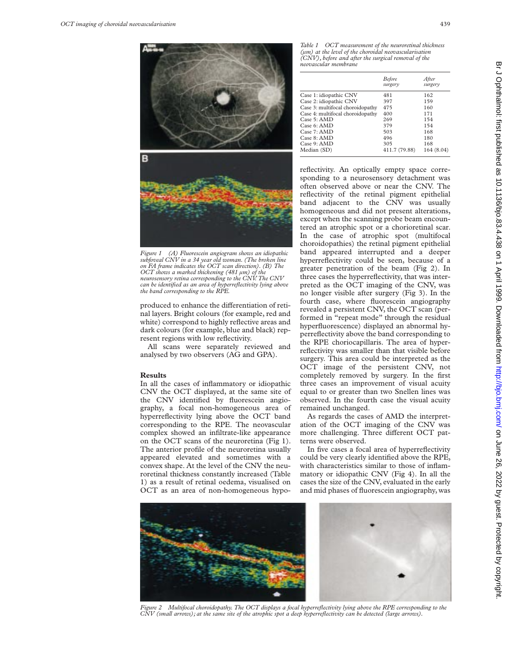

*Figure 1 (A) Fluorescein angiogram shows an idiopathic subfoveal CNV in a 34 year old woman. (The broken line on FA frame indicates the OCT scan direction). (B) The OCT shows a marked thickening (481 µm) of the neurosensory retina corresponding to the CNV. The CNV can be identified as an area of hyperreflectivity lying above the band corresponding to the RPE.*

produced to enhance the differentiation of retinal layers. Bright colours (for example, red and white) correspond to highly reflective areas and dark colours (for example, blue and black) represent regions with low reflectivity.

All scans were separately reviewed and analysed by two observers (AG and GPA).

#### **Results**

In all the cases of inflammatory or idiopathic CNV the OCT displayed, at the same site of the CNV identified by fluorescein angiography, a focal non-homogeneous area of hyperreflectivity lying above the OCT band corresponding to the RPE. The neovascular complex showed an infiltrate-like appearance on the OCT scans of the neuroretina (Fig 1). The anterior profile of the neuroretina usually appeared elevated and sometimes with a convex shape. At the level of the CNV the neuroretinal thickness constantly increased (Table 1) as a result of retinal oedema, visualised on OCT as an area of non-homogeneous hypo-

*Table 1 OCT measurement of the neuroretinal thickness (µm) at the level of the choroidal neovascularisation (CNV), before and after the surgical removal of the neovascular membrane*

|                                  | <b>Before</b><br>surgery | After<br>surgery |
|----------------------------------|--------------------------|------------------|
| Case 1: idiopathic CNV           | 481                      | 162              |
| Case 2: idiopathic CNV           | 397                      | 159              |
| Case 3: multifocal choroidopathy | 475                      | 160              |
| Case 4: multifocal choroidopathy | 400                      | 171              |
| Case 5: AMD                      | 269                      | 154              |
| Case 6: AMD                      | 379                      | 154              |
| Case 7: AMD                      | 503                      | 168              |
| Case 8: AMD                      | 496                      | 180              |
| Case 9: AMD                      | 305                      | 168              |
| Median (SD)                      | 411.7 (79.88)            | 164 (8.04)       |

reflectivity. An optically empty space corresponding to a neurosensory detachment was often observed above or near the CNV. The reflectivity of the retinal pigment epithelial band adjacent to the CNV was usually homogeneous and did not present alterations, except when the scanning probe beam encountered an atrophic spot or a chorioretinal scar. In the case of atrophic spot (multifocal choroidopathies) the retinal pigment epithelial band appeared interrupted and a deeper hyperreflectivity could be seen, because of a greater penetration of the beam (Fig 2). In three cases the hyperreflectivity, that was interpreted as the OCT imaging of the CNV, was no longer visible after surgery (Fig 3). In the fourth case, where fluorescein angiography revealed a persistent CNV, the OCT scan (performed in "repeat mode" through the residual hyperfluorescence) displayed an abnormal hyperreflectivity above the band corresponding to the RPE choriocapillaris. The area of hyperreflectivity was smaller than that visible before surgery. This area could be interpreted as the OCT image of the persistent CNV, not completely removed by surgery. In the first three cases an improvement of visual acuity equal to or greater than two Snellen lines was observed. In the fourth case the visual acuity remained unchanged.

As regards the cases of AMD the interpretation of the OCT imaging of the CNV was more challenging. Three different OCT patterns were observed.

In five cases a focal area of hyperreflectivity could be very clearly identified above the RPE, with characteristics similar to those of inflammatory or idiopathic CNV (Fig 4). In all the cases the size of the CNV, evaluated in the early and mid phases of fluorescein angiography, was



*Figure 2 Multifocal choroidopathy. The OCT displays a focal hyperreflectivity lying above the RPE corresponding to the CNV (small arrows); at the same site of the atrophic spot a deep hyperreflectivity can be detected (large arrows).*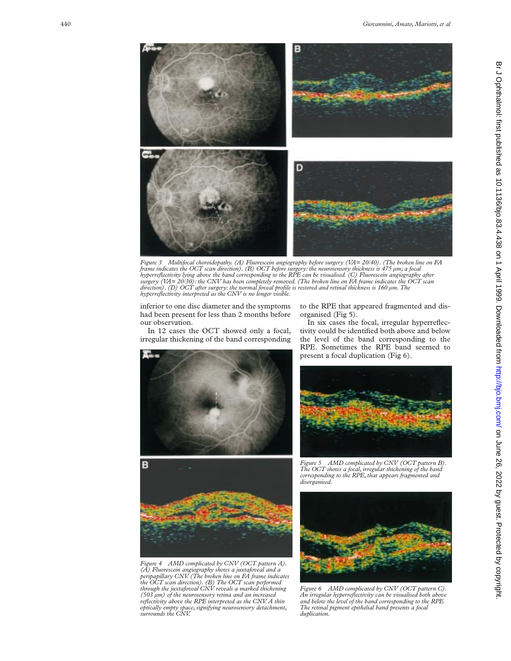

Figure 3 Multifocal choroidopathy. (A) Fluorescein angiography before surgery (VA= 20/40). (The broken line on FA<br>frame indicates the OCT scan direction). (B) OCT before surgery: the neurosensory thickness is 475 µm; a foc *surgery (VA= 20/30): the CNV has been completely removed. (The broken line on FA frame indicates the OCT scan direction). (D) OCT after surgery: the normal foveal profile is restored and retinal thickness is 160 µm. The hyperreflectivity interpreted as the CNV is no longer visible.*

inferior to one disc diameter and the symptoms had been present for less than 2 months before our observation.

In 12 cases the OCT showed only a focal, irregular thickening of the band corresponding



to the RPE that appeared fragmented and disorganised (Fig 5).

In six cases the focal, irregular hyperreflectivity could be identified both above and below the level of the band corresponding to the RPE. Sometimes the RPE band seemed to present a focal duplication (Fig 6).





*Figure 4 AMD complicated by CNV (OCT pattern A). (A) Fluorescein angiography shows a juxtafoveal and a peripapillary CNV. (The broken line on FA frame indicates the OCT scan direction). (B) The OCT scan performed through the juxtafoveal CNV reveals a marked thickening (503 µm) of the neurosensory retina and an increased reflectivity above the RPE interpreted as the CNV. A thin optically empty space, signifying neurosensory detachment, surrounds the CNV.*

*Figure 5 AMD complicated by CNV (OCT pattern B). The OCT shows a focal, irregular thickening of the band corresponding to the RPE, that appears fragmented and disorganised.*



*Figure 6 AMD complicated by CNV (OCT pattern C). An irregular hyperreflectivity can be visualised both above and below the level of the band corresponding to the RPE. The retinal pigment epithelial band presents a focal duplication.*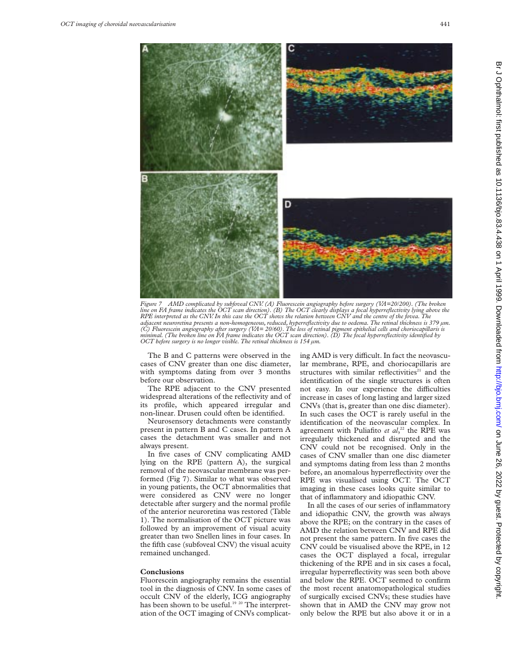

*Figure 7 AMD complicated by subfoveal CNV. (A) Fluorescein angiography before surgery (VA=20/200). (The broken line on FA frame indicates the OCT scan direction). (B) The OCT clearly displays a focal hyperreflectivity lying above the RPE interpreted as the CNV. In this case the OCT shows the relation between CNV and the centre of the fovea. The* adjacent neuroretina presents a non-homogeneous, reduced, hyperreflectivity due to oedema. The retinal thickness is 379 µm.<br>(C) Fluorescein angiography after surgery (VA= 20/60). The loss of retinal pigment epithelial cell *minimal. (The broken line on FA frame indicates the OCT scan direction). (D) The focal hyperreflectivity identified by OCT before surgery is no longer visible. The retinal thickness is 154 µm.*

The B and C patterns were observed in the cases of CNV greater than one disc diameter, with symptoms dating from over 3 months before our observation.

The RPE adjacent to the CNV presented widespread alterations of the reflectivity and of its profile, which appeared irregular and non-linear. Drusen could often be identified.

Neurosensory detachments were constantly present in pattern B and C cases. In pattern A cases the detachment was smaller and not always present.

In five cases of CNV complicating AMD lying on the RPE (pattern A), the surgical removal of the neovascular membrane was performed (Fig 7). Similar to what was observed in young patients, the OCT abnormalities that were considered as CNV were no longer detectable after surgery and the normal profile of the anterior neuroretina was restored (Table 1). The normalisation of the OCT picture was followed by an improvement of visual acuity greater than two Snellen lines in four cases. In the fifth case (subfoveal CNV) the visual acuity remained unchanged.

#### **Conclusions**

Fluorescein angiography remains the essential tool in the diagnosis of CNV. In some cases of occult CNV of the elderly, ICG angiography has been shown to be useful.<sup>19 20</sup> The interpretation of the OCT imaging of CNVs complicating AMD is very difficult. In fact the neovascular membrane, RPE, and choriocapillaris are structures with similar reflectivities<sup>21</sup> and the identification of the single structures is often not easy. In our experience the difficulties increase in cases of long lasting and larger sized CNVs (that is, greater than one disc diameter). In such cases the OCT is rarely useful in the identification of the neovascular complex. In agreement with Puliafito *et al*, <sup>22</sup> the RPE was irregularly thickened and disrupted and the CNV could not be recognised. Only in the cases of CNV smaller than one disc diameter and symptoms dating from less than 2 months before, an anomalous hyperreflectivity over the RPE was visualised using OCT. The OCT imaging in these cases looks quite similar to that of inflammatory and idiopathic CNV.

In all the cases of our series of inflammatory and idiopathic CNV, the growth was always above the RPE; on the contrary in the cases of AMD the relation between CNV and RPE did not present the same pattern. In five cases the CNV could be visualised above the RPE, in 12 cases the OCT displayed a focal, irregular thickening of the RPE and in six cases a focal, irregular hyperreflectivity was seen both above and below the RPE. OCT seemed to confirm the most recent anatomopathological studies of surgically excised CNVs; these studies have shown that in AMD the CNV may grow not only below the RPE but also above it or in a